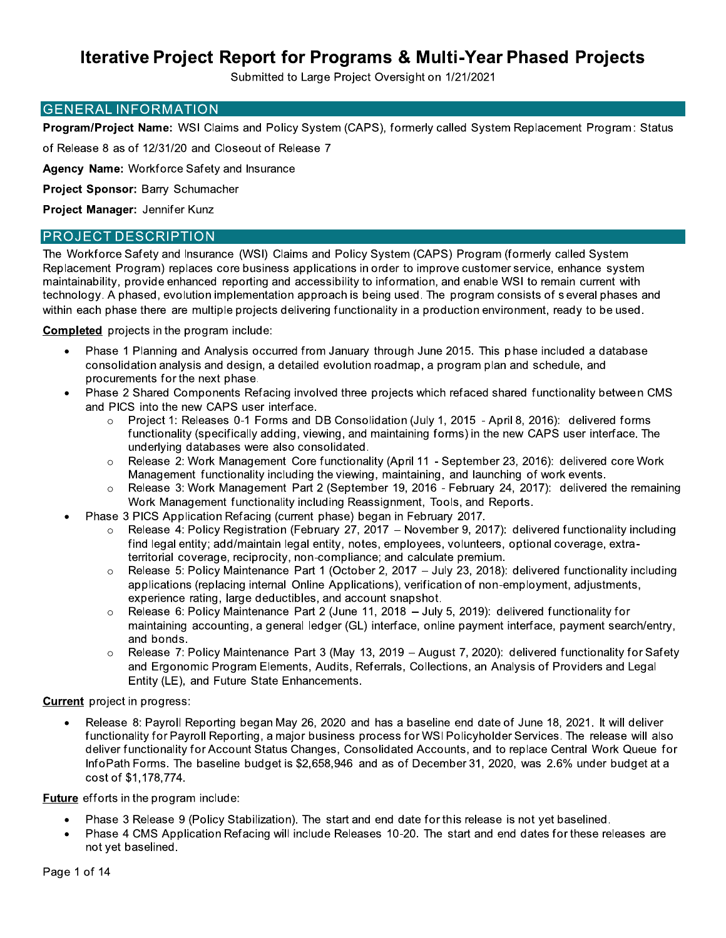Submitted to Large Project Oversight on 1/21/2021

#### **GENERAL INFORMATION**

Program/Project Name: WSI Claims and Policy System (CAPS), formerly called System Replacement Program: Status

of Release 8 as of 12/31/20 and Closeout of Release 7

Agency Name: Workforce Safety and Insurance

Project Sponsor: Barry Schumacher

Project Manager: Jennifer Kunz

#### **PROJECT DESCRIPTION**

The Workforce Safety and Insurance (WSI) Claims and Policy System (CAPS) Program (formerly called System Replacement Program) replaces core business applications in order to improve customer service, enhance system maintainability, provide enhanced reporting and accessibility to information, and enable WSI to remain current with technology. A phased, evolution implementation approach is being used. The program consists of several phases and within each phase there are multiple projects delivering functionality in a production environment, ready to be used.

**Completed** projects in the program include:

- $\bullet$ Phase 1 Planning and Analysis occurred from January through June 2015. This phase included a database consolidation analysis and design, a detailed evolution roadmap, a program plan and schedule, and procurements for the next phase.
- Phase 2 Shared Components Refacing involved three projects which refaced shared functionality between CMS and PICS into the new CAPS user interface.
	- Project 1: Releases 0-1 Forms and DB Consolidation (July 1, 2015 April 8, 2016): delivered forms functionality (specifically adding, viewing, and maintaining forms) in the new CAPS user interface. The underlying databases were also consolidated.
	- Release 2: Work Management Core functionality (April 11 September 23, 2016): delivered core Work  $\circ$ Management functionality including the viewing, maintaining, and launching of work events.
	- Release 3: Work Management Part 2 (September 19, 2016 February 24, 2017): delivered the remaining  $\circ$ Work Management functionality including Reassignment, Tools, and Reports.
- Phase 3 PICS Application Refacing (current phase) began in February 2017.
	- Release 4: Policy Registration (February 27, 2017 November 9, 2017): delivered functionality including find legal entity; add/maintain legal entity, notes, employees, volunteers, optional coverage, extraterritorial coverage, reciprocity, non-compliance; and calculate premium.
	- Release 5: Policy Maintenance Part 1 (October 2, 2017 July 23, 2018): delivered functionality including  $\circ$ applications (replacing internal Online Applications), verification of non-employment, adjustments, experience rating, large deductibles, and account snapshot.
	- Release 6: Policy Maintenance Part 2 (June 11, 2018 July 5, 2019): delivered functionality for  $\circ$ maintaining accounting, a general ledger (GL) interface, online payment interface, payment search/entry, and bonds.
	- Release 7: Policy Maintenance Part 3 (May 13, 2019 August 7, 2020): delivered functionality for Safety and Ergonomic Program Elements, Audits, Referrals, Collections, an Analysis of Providers and Legal Entity (LE), and Future State Enhancements.

**Current** project in progress:

Release 8: Payroll Reporting began May 26, 2020 and has a baseline end date of June 18, 2021. It will deliver functionality for Payroll Reporting, a major business process for WSI Policyholder Services. The release will also deliver functionality for Account Status Changes, Consolidated Accounts, and to replace Central Work Queue for InfoPath Forms. The baseline budget is \$2,658,946 and as of December 31, 2020, was 2.6% under budget at a cost of \$1.178.774.

Future efforts in the program include:

- Phase 3 Release 9 (Policy Stabilization). The start and end date for this release is not yet baselined.
- Phase 4 CMS Application Refacing will include Releases 10-20. The start and end dates for these releases are not yet baselined.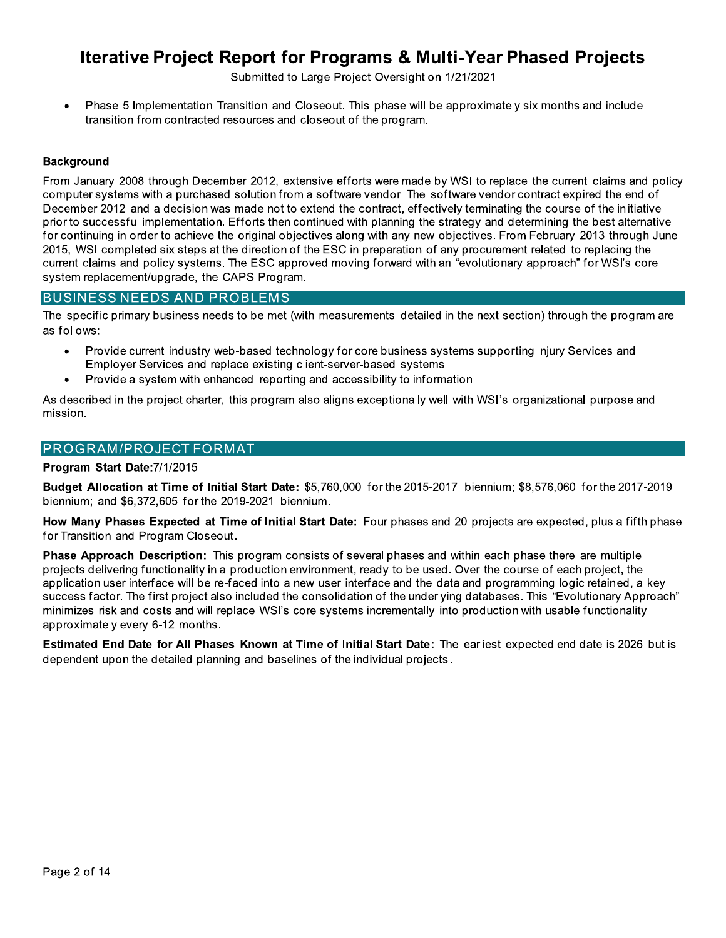Submitted to Large Project Oversight on 1/21/2021

Phase 5 Implementation Transition and Closeout. This phase will be approximately six months and include transition from contracted resources and closeout of the program.

#### **Background**

From January 2008 through December 2012, extensive efforts were made by WSI to replace the current claims and policy computer systems with a purchased solution from a software vendor. The software vendor contract expired the end of December 2012 and a decision was made not to extend the contract, effectively terminating the course of the initiative prior to successful implementation. Efforts then continued with planning the strategy and determining the best alternative for continuing in order to achieve the original objectives along with any new objectives. From February 2013 through June 2015. WSI completed six steps at the direction of the ESC in preparation of any procurement related to replacing the current claims and policy systems. The ESC approved moving forward with an "evolutionary approach" for WSI's core system replacement/upgrade, the CAPS Program.

#### **BUSINESS NEEDS AND PROBLEMS**

The specific primary business needs to be met (with measurements detailed in the next section) through the program are as follows:

- Provide current industry web-based technology for core business systems supporting Injury Services and Employer Services and replace existing client-server-based systems
- Provide a system with enhanced reporting and accessibility to information

As described in the project charter, this program also aligns exceptionally well with WSI's organizational purpose and mission.

#### **PROGRAM/PROJECT FORMAT**

#### Program Start Date: 7/1/2015

Budget Allocation at Time of Initial Start Date: \$5,760,000 for the 2015-2017 biennium; \$8,576,060 for the 2017-2019 biennium; and \$6,372,605 for the 2019-2021 biennium.

How Many Phases Expected at Time of Initial Start Date: Four phases and 20 projects are expected, plus a fifth phase for Transition and Program Closeout.

Phase Approach Description: This program consists of several phases and within each phase there are multiple projects delivering functionality in a production environment, ready to be used. Over the course of each project, the application user interface will be re-faced into a new user interface and the data and programming logic retained, a key success factor. The first project also included the consolidation of the underlying databases. This "Evolutionary Approach" minimizes risk and costs and will replace WSI's core systems incrementally into production with usable functionality approximately every 6-12 months.

Estimated End Date for All Phases Known at Time of Initial Start Date: The earliest expected end date is 2026 but is dependent upon the detailed planning and baselines of the individual projects.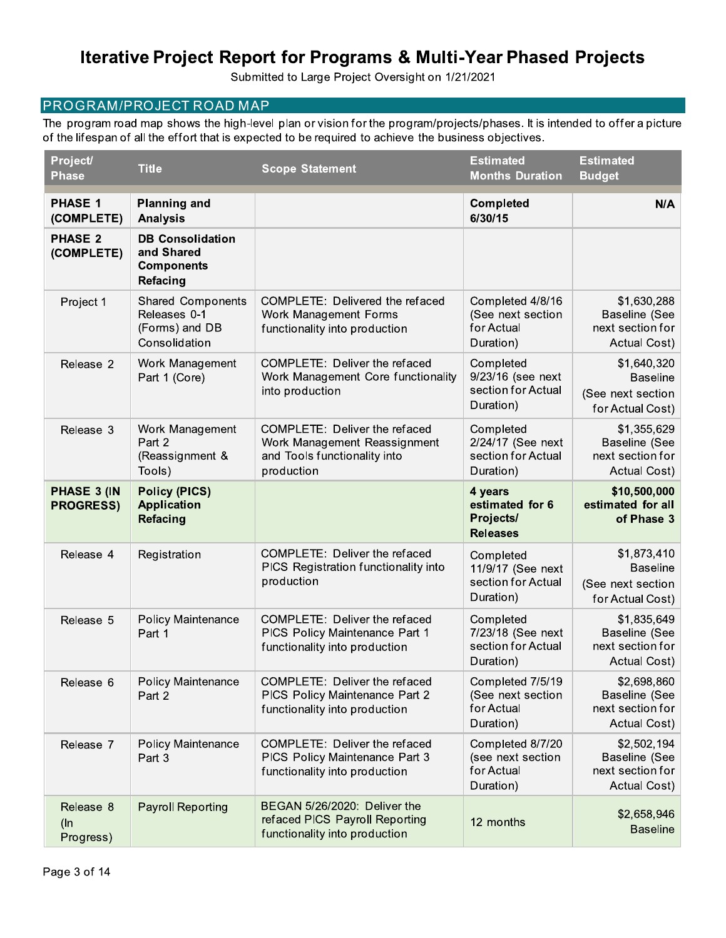Submitted to Large Project Oversight on 1/21/2021

### PROGRAM/PROJECT ROAD MAP

The program road map shows the high-level plan or vision for the program/projects/phases. It is intended to offer a picture of the lifespan of all the effort that is expected to be required to achieve the business objectives.

| Project/<br><b>Phase</b>         | <b>Title</b>                                                                | <b>Scope Statement</b>                                                                                      | <b>Estimated</b><br><b>Months Duration</b>                        | <b>Estimated</b><br><b>Budget</b>                                       |
|----------------------------------|-----------------------------------------------------------------------------|-------------------------------------------------------------------------------------------------------------|-------------------------------------------------------------------|-------------------------------------------------------------------------|
| <b>PHASE 1</b><br>(COMPLETE)     | <b>Planning and</b><br><b>Analysis</b>                                      |                                                                                                             | <b>Completed</b><br>6/30/15                                       | N/A                                                                     |
| <b>PHASE 2</b><br>(COMPLETE)     | <b>DB Consolidation</b><br>and Shared<br><b>Components</b><br>Refacing      |                                                                                                             |                                                                   |                                                                         |
| Project 1                        | <b>Shared Components</b><br>Releases 0-1<br>(Forms) and DB<br>Consolidation | COMPLETE: Delivered the refaced<br>Work Management Forms<br>functionality into production                   | Completed 4/8/16<br>(See next section<br>for Actual<br>Duration)  | \$1,630,288<br>Baseline (See<br>next section for<br>Actual Cost)        |
| Release 2                        | Work Management<br>Part 1 (Core)                                            | COMPLETE: Deliver the refaced<br>Work Management Core functionality<br>into production                      | Completed<br>9/23/16 (see next<br>section for Actual<br>Duration) | \$1,640,320<br><b>Baseline</b><br>(See next section<br>for Actual Cost) |
| Release 3                        | Work Management<br>Part 2<br>(Reassignment &<br>Tools)                      | COMPLETE: Deliver the refaced<br>Work Management Reassignment<br>and Tools functionality into<br>production | Completed<br>2/24/17 (See next<br>section for Actual<br>Duration) | \$1,355,629<br>Baseline (See<br>next section for<br>Actual Cost)        |
| PHASE 3 (IN<br><b>PROGRESS)</b>  | <b>Policy (PICS)</b><br><b>Application</b><br><b>Refacing</b>               |                                                                                                             | 4 years<br>estimated for 6<br>Projects/<br><b>Releases</b>        | \$10,500,000<br>estimated for all<br>of Phase 3                         |
| Release 4                        | Registration                                                                | COMPLETE: Deliver the refaced<br>PICS Registration functionality into<br>production                         | Completed<br>11/9/17 (See next<br>section for Actual<br>Duration) | \$1,873,410<br><b>Baseline</b><br>(See next section<br>for Actual Cost) |
| Release 5                        | <b>Policy Maintenance</b><br>Part 1                                         | COMPLETE: Deliver the refaced<br>PICS Policy Maintenance Part 1<br>functionality into production            | Completed<br>7/23/18 (See next<br>section for Actual<br>Duration) | \$1,835,649<br>Baseline (See<br>next section for<br>Actual Cost)        |
| Release 6                        | <b>Policy Maintenance</b><br>Part 2                                         | COMPLETE: Deliver the refaced<br>PICS Policy Maintenance Part 2<br>functionality into production            | Completed 7/5/19<br>(See next section<br>for Actual<br>Duration)  | \$2,698,860<br><b>Baseline (See</b><br>next section for<br>Actual Cost) |
| Release 7                        | <b>Policy Maintenance</b><br>Part 3                                         | COMPLETE: Deliver the refaced<br>PICS Policy Maintenance Part 3<br>functionality into production            | Completed 8/7/20<br>(see next section<br>for Actual<br>Duration)  | \$2,502,194<br>Baseline (See<br>next section for<br>Actual Cost)        |
| Release 8<br>$($ ln<br>Progress) | <b>Payroll Reporting</b>                                                    | BEGAN 5/26/2020: Deliver the<br>refaced PICS Payroll Reporting<br>functionality into production             | 12 months                                                         | \$2,658,946<br><b>Baseline</b>                                          |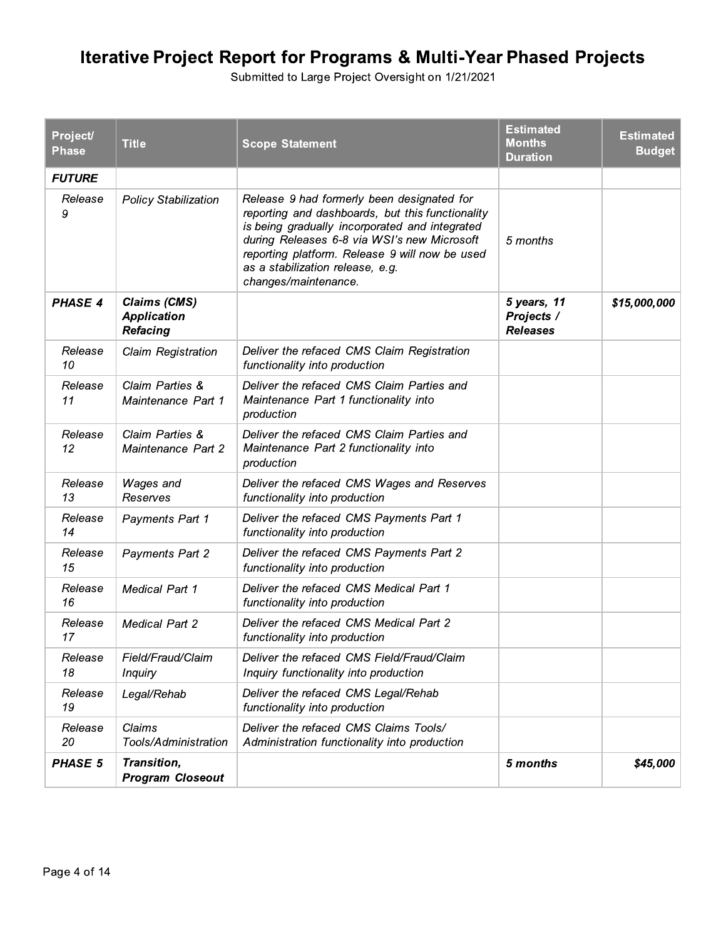| Project/<br><b>Phase</b> | <b>Title</b>                                          | <b>Scope Statement</b>                                                                                                                                                                                                                                                                                        | <b>Estimated</b><br><b>Months</b><br><b>Duration</b> | <b>Estimated</b><br><b>Budget</b> |
|--------------------------|-------------------------------------------------------|---------------------------------------------------------------------------------------------------------------------------------------------------------------------------------------------------------------------------------------------------------------------------------------------------------------|------------------------------------------------------|-----------------------------------|
| <b>FUTURE</b>            |                                                       |                                                                                                                                                                                                                                                                                                               |                                                      |                                   |
| Release<br>9             | <b>Policy Stabilization</b>                           | Release 9 had formerly been designated for<br>reporting and dashboards, but this functionality<br>is being gradually incorporated and integrated<br>during Releases 6-8 via WSI's new Microsoft<br>reporting platform. Release 9 will now be used<br>as a stabilization release, e.g.<br>changes/maintenance. | 5 months                                             |                                   |
| <b>PHASE 4</b>           | Claims (CMS)<br><b>Application</b><br><b>Refacing</b> |                                                                                                                                                                                                                                                                                                               | 5 years, 11<br>Projects /<br><b>Releases</b>         | \$15,000,000                      |
| Release<br>10            | Claim Registration                                    | Deliver the refaced CMS Claim Registration<br>functionality into production                                                                                                                                                                                                                                   |                                                      |                                   |
| Release<br>11            | Claim Parties &<br>Maintenance Part 1                 | Deliver the refaced CMS Claim Parties and<br>Maintenance Part 1 functionality into<br>production                                                                                                                                                                                                              |                                                      |                                   |
| Release<br>12            | Claim Parties &<br>Maintenance Part 2                 | Deliver the refaced CMS Claim Parties and<br>Maintenance Part 2 functionality into<br>production                                                                                                                                                                                                              |                                                      |                                   |
| Release<br>13            | Wages and<br>Reserves                                 | Deliver the refaced CMS Wages and Reserves<br>functionality into production                                                                                                                                                                                                                                   |                                                      |                                   |
| Release<br>14            | Payments Part 1                                       | Deliver the refaced CMS Payments Part 1<br>functionality into production                                                                                                                                                                                                                                      |                                                      |                                   |
| Release<br>15            | Payments Part 2                                       | Deliver the refaced CMS Payments Part 2<br>functionality into production                                                                                                                                                                                                                                      |                                                      |                                   |
| Release<br>16            | <b>Medical Part 1</b>                                 | Deliver the refaced CMS Medical Part 1<br>functionality into production                                                                                                                                                                                                                                       |                                                      |                                   |
| Release<br>17            | <b>Medical Part 2</b>                                 | Deliver the refaced CMS Medical Part 2<br>functionality into production                                                                                                                                                                                                                                       |                                                      |                                   |
| Release<br>18            | Field/Fraud/Claim<br><b>Inquiry</b>                   | Deliver the refaced CMS Field/Fraud/Claim<br>Inquiry functionality into production                                                                                                                                                                                                                            |                                                      |                                   |
| Release<br>19            | Legal/Rehab                                           | Deliver the refaced CMS Legal/Rehab<br>functionality into production                                                                                                                                                                                                                                          |                                                      |                                   |
| Release<br>20            | Claims<br>Tools/Administration                        | Deliver the refaced CMS Claims Tools/<br>Administration functionality into production                                                                                                                                                                                                                         |                                                      |                                   |
| <b>PHASE 5</b>           | Transition,<br><b>Program Closeout</b>                |                                                                                                                                                                                                                                                                                                               | 5 months                                             | \$45,000                          |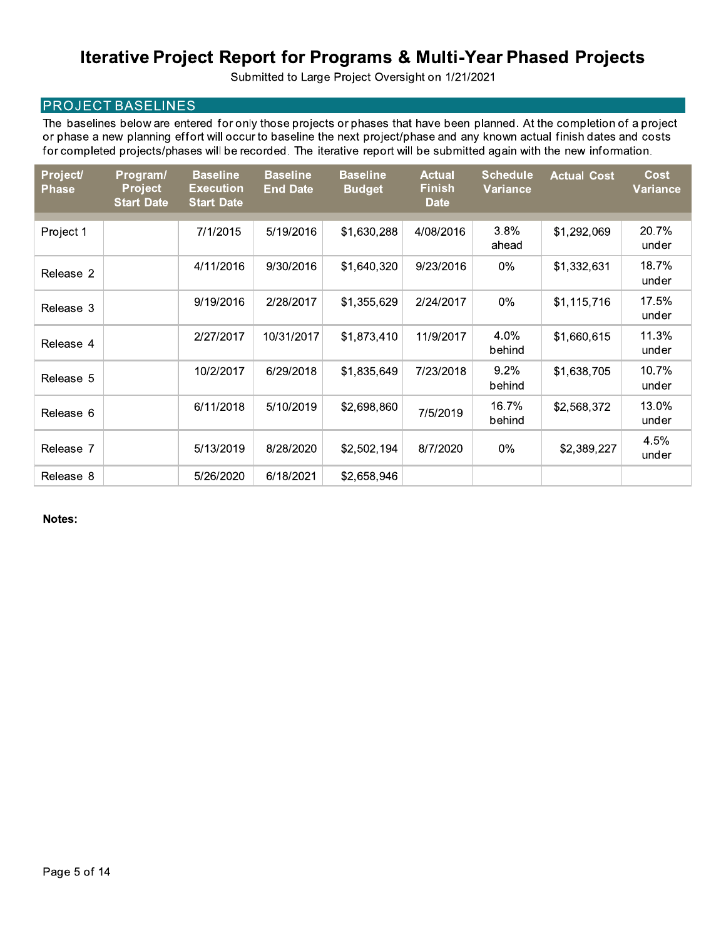Submitted to Large Project Oversight on 1/21/2021

### **PROJECT BASELINES**

The baselines below are entered for only those projects or phases that have been planned. At the completion of a project or phase a new planning effort will occur to baseline the next project/phase and any known actual finish dates and costs for completed projects/phases will be recorded. The iterative report will be submitted again with the new information.

| Project/<br><b>Phase</b> | Program/<br><b>Project</b><br><b>Start Date</b> | <b>Baseline</b><br><b>Execution</b><br><b>Start Date</b> | <b>Baseline</b><br><b>End Date</b> | <b>Baseline</b><br><b>Budget</b> | <b>Actual</b><br><b>Finish</b><br><b>Date</b> | <b>Schedule</b><br><b>Variance</b> | <b>Actual Cost</b> | <b>Cost</b><br>Variance |
|--------------------------|-------------------------------------------------|----------------------------------------------------------|------------------------------------|----------------------------------|-----------------------------------------------|------------------------------------|--------------------|-------------------------|
| Project 1                |                                                 | 7/1/2015                                                 | 5/19/2016                          | \$1,630,288                      | 4/08/2016                                     | 3.8%<br>ahead                      | \$1,292,069        | 20.7%<br>under          |
| Release 2                |                                                 | 4/11/2016                                                | 9/30/2016                          | \$1,640,320                      | 9/23/2016                                     | $0\%$                              | \$1,332,631        | 18.7%<br>under          |
| Release 3                |                                                 | 9/19/2016                                                | 2/28/2017                          | \$1,355,629                      | 2/24/2017                                     | $0\%$                              | \$1,115,716        | 17.5%<br>under          |
| Release 4                |                                                 | 2/27/2017                                                | 10/31/2017                         | \$1,873,410                      | 11/9/2017                                     | 4.0%<br>behind                     | \$1,660,615        | 11.3%<br>under          |
| Release 5                |                                                 | 10/2/2017                                                | 6/29/2018                          | \$1,835,649                      | 7/23/2018                                     | 9.2%<br>behind                     | \$1,638,705        | 10.7%<br>under          |
| Release 6                |                                                 | 6/11/2018                                                | 5/10/2019                          | \$2,698,860                      | 7/5/2019                                      | 16.7%<br>behind                    | \$2,568,372        | 13.0%<br>under          |
| Release 7                |                                                 | 5/13/2019                                                | 8/28/2020                          | \$2,502,194                      | 8/7/2020                                      | 0%                                 | \$2,389,227        | 4.5%<br>under           |
| Release 8                |                                                 | 5/26/2020                                                | 6/18/2021                          | \$2,658,946                      |                                               |                                    |                    |                         |

Notes: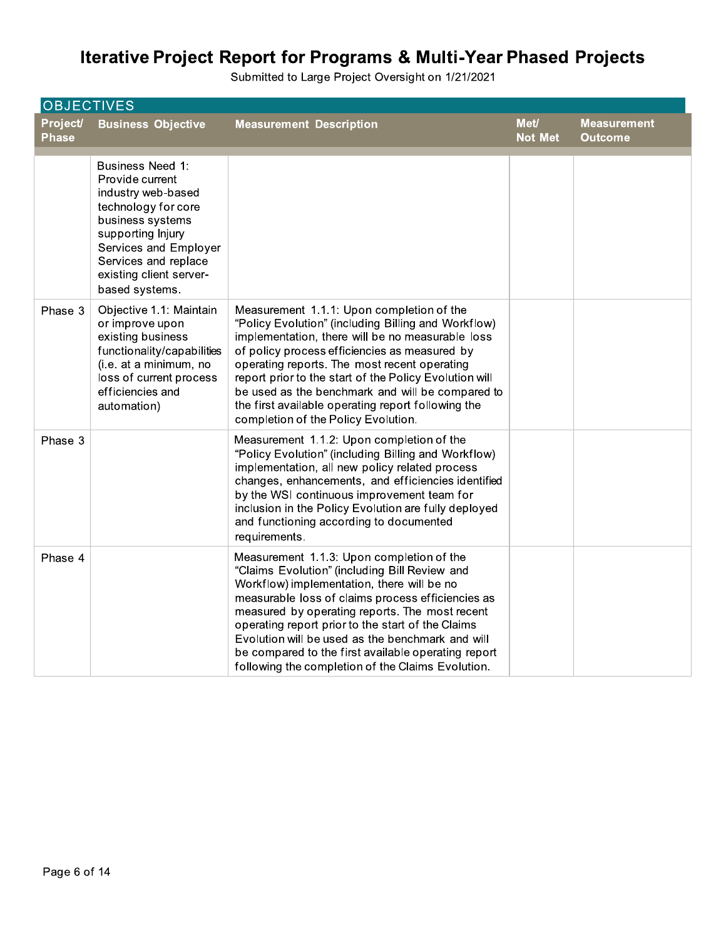|                          | <b>OBJECTIVES</b>                                                                                                                                                                                                              |                                                                                                                                                                                                                                                                                                                                                                                                                                                                      |                        |                                      |  |  |
|--------------------------|--------------------------------------------------------------------------------------------------------------------------------------------------------------------------------------------------------------------------------|----------------------------------------------------------------------------------------------------------------------------------------------------------------------------------------------------------------------------------------------------------------------------------------------------------------------------------------------------------------------------------------------------------------------------------------------------------------------|------------------------|--------------------------------------|--|--|
| Project/<br><b>Phase</b> | <b>Business Objective</b>                                                                                                                                                                                                      | <b>Measurement Description</b>                                                                                                                                                                                                                                                                                                                                                                                                                                       | Met/<br><b>Not Met</b> | <b>Measurement</b><br><b>Outcome</b> |  |  |
|                          | <b>Business Need 1:</b><br>Provide current<br>industry web-based<br>technology for core<br>business systems<br>supporting Injury<br>Services and Employer<br>Services and replace<br>existing client server-<br>based systems. |                                                                                                                                                                                                                                                                                                                                                                                                                                                                      |                        |                                      |  |  |
| Phase 3                  | Objective 1.1: Maintain<br>or improve upon<br>existing business<br>functionality/capabilities<br>(i.e. at a minimum, no<br>loss of current process<br>efficiencies and<br>automation)                                          | Measurement 1.1.1: Upon completion of the<br>"Policy Evolution" (including Billing and Workflow)<br>implementation, there will be no measurable loss<br>of policy process efficiencies as measured by<br>operating reports. The most recent operating<br>report prior to the start of the Policy Evolution will<br>be used as the benchmark and will be compared to<br>the first available operating report following the<br>completion of the Policy Evolution.     |                        |                                      |  |  |
| Phase 3                  |                                                                                                                                                                                                                                | Measurement 1.1.2: Upon completion of the<br>"Policy Evolution" (including Billing and Workflow)<br>implementation, all new policy related process<br>changes, enhancements, and efficiencies identified<br>by the WSI continuous improvement team for<br>inclusion in the Policy Evolution are fully deployed<br>and functioning according to documented<br>requirements.                                                                                           |                        |                                      |  |  |
| Phase 4                  |                                                                                                                                                                                                                                | Measurement 1.1.3: Upon completion of the<br>"Claims Evolution" (including Bill Review and<br>Workflow) implementation, there will be no<br>measurable loss of claims process efficiencies as<br>measured by operating reports. The most recent<br>operating report prior to the start of the Claims<br>Evolution will be used as the benchmark and will<br>be compared to the first available operating report<br>following the completion of the Claims Evolution. |                        |                                      |  |  |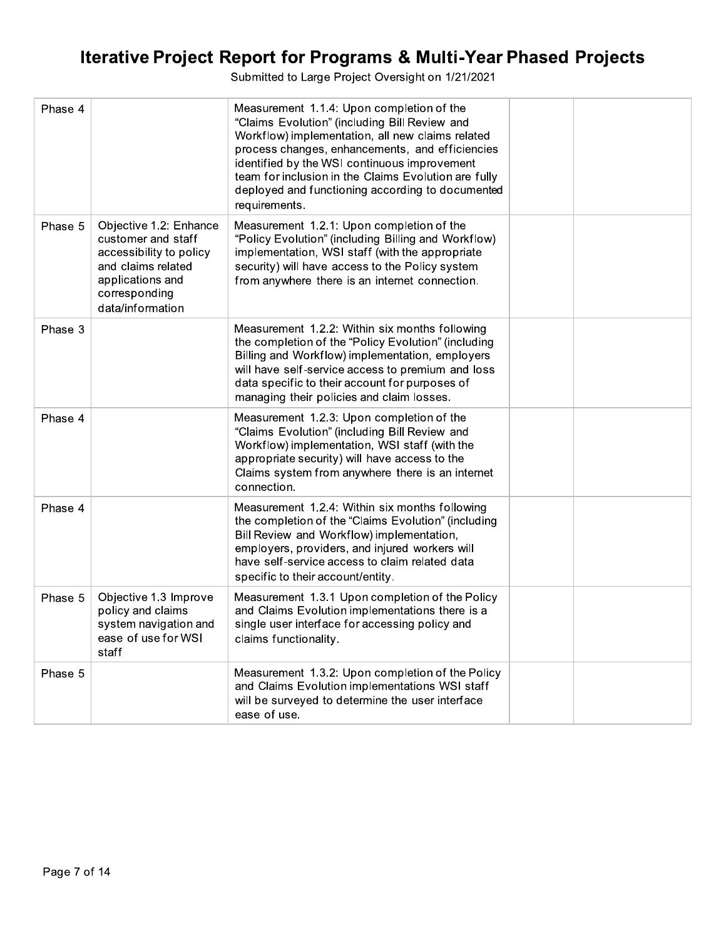| Phase 4 |                                                                                                                                                        | Measurement 1.1.4: Upon completion of the<br>"Claims Evolution" (including Bill Review and<br>Workflow) implementation, all new claims related<br>process changes, enhancements, and efficiencies<br>identified by the WSI continuous improvement<br>team for inclusion in the Claims Evolution are fully<br>deployed and functioning according to documented<br>requirements. |  |
|---------|--------------------------------------------------------------------------------------------------------------------------------------------------------|--------------------------------------------------------------------------------------------------------------------------------------------------------------------------------------------------------------------------------------------------------------------------------------------------------------------------------------------------------------------------------|--|
| Phase 5 | Objective 1.2: Enhance<br>customer and staff<br>accessibility to policy<br>and claims related<br>applications and<br>corresponding<br>data/information | Measurement 1.2.1: Upon completion of the<br>"Policy Evolution" (including Billing and Workflow)<br>implementation, WSI staff (with the appropriate<br>security) will have access to the Policy system<br>from anywhere there is an internet connection.                                                                                                                       |  |
| Phase 3 |                                                                                                                                                        | Measurement 1.2.2: Within six months following<br>the completion of the "Policy Evolution" (including<br>Billing and Workflow) implementation, employers<br>will have self-service access to premium and loss<br>data specific to their account for purposes of<br>managing their policies and claim losses.                                                                   |  |
| Phase 4 |                                                                                                                                                        | Measurement 1.2.3: Upon completion of the<br>"Claims Evolution" (including Bill Review and<br>Workflow) implementation, WSI staff (with the<br>appropriate security) will have access to the<br>Claims system from anywhere there is an internet<br>connection.                                                                                                                |  |
| Phase 4 |                                                                                                                                                        | Measurement 1.2.4: Within six months following<br>the completion of the "Claims Evolution" (including<br>Bill Review and Workflow) implementation,<br>employers, providers, and injured workers will<br>have self-service access to claim related data<br>specific to their account/entity.                                                                                    |  |
| Phase 5 | Objective 1.3 Improve<br>policy and claims<br>system navigation and<br>ease of use for WSI<br>staff                                                    | Measurement 1.3.1 Upon completion of the Policy<br>and Claims Evolution implementations there is a<br>single user interface for accessing policy and<br>claims functionality.                                                                                                                                                                                                  |  |
| Phase 5 |                                                                                                                                                        | Measurement 1.3.2: Upon completion of the Policy<br>and Claims Evolution implementations WSI staff<br>will be surveyed to determine the user interface<br>ease of use.                                                                                                                                                                                                         |  |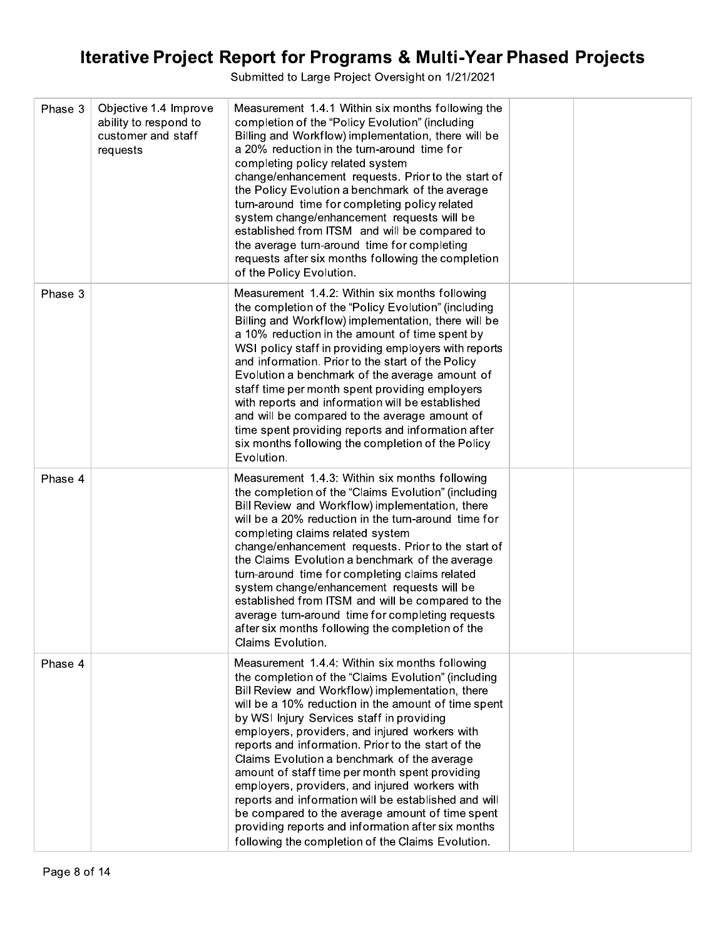| Phase 3 | Objective 1.4 Improve<br>ability to respond to<br>customer and staff<br>requests | Measurement 1.4.1 Within six months following the<br>completion of the "Policy Evolution" (including<br>Billing and Workflow) implementation, there will be<br>a 20% reduction in the turn-around time for<br>completing policy related system<br>change/enhancement requests. Prior to the start of<br>the Policy Evolution a benchmark of the average<br>turn-around time for completing policy related<br>system change/enhancement requests will be<br>established from ITSM and will be compared to<br>the average turn-around time for completing<br>requests after six months following the completion<br>of the Policy Evolution.                                                                                                     |  |
|---------|----------------------------------------------------------------------------------|-----------------------------------------------------------------------------------------------------------------------------------------------------------------------------------------------------------------------------------------------------------------------------------------------------------------------------------------------------------------------------------------------------------------------------------------------------------------------------------------------------------------------------------------------------------------------------------------------------------------------------------------------------------------------------------------------------------------------------------------------|--|
| Phase 3 |                                                                                  | Measurement 1.4.2: Within six months following<br>the completion of the "Policy Evolution" (including<br>Billing and Workflow) implementation, there will be<br>a 10% reduction in the amount of time spent by<br>WSI policy staff in providing employers with reports<br>and information. Prior to the start of the Policy<br>Evolution a benchmark of the average amount of<br>staff time per month spent providing employers<br>with reports and information will be established<br>and will be compared to the average amount of<br>time spent providing reports and information after<br>six months following the completion of the Policy<br>Evolution.                                                                                 |  |
| Phase 4 |                                                                                  | Measurement 1.4.3: Within six months following<br>the completion of the "Claims Evolution" (including<br>Bill Review and Workflow) implementation, there<br>will be a 20% reduction in the turn-around time for<br>completing claims related system<br>change/enhancement requests. Prior to the start of<br>the Claims Evolution a benchmark of the average<br>turn-around time for completing claims related<br>system change/enhancement requests will be<br>established from ITSM and will be compared to the<br>average turn-around time for completing requests<br>after six months following the completion of the<br>Claims Evolution.                                                                                                |  |
| Phase 4 |                                                                                  | Measurement 1.4.4: Within six months following<br>the completion of the "Claims Evolution" (including<br>Bill Review and Workflow) implementation, there<br>will be a 10% reduction in the amount of time spent<br>by WSI Injury Services staff in providing<br>employers, providers, and injured workers with<br>reports and information. Prior to the start of the<br>Claims Evolution a benchmark of the average<br>amount of staff time per month spent providing<br>employers, providers, and injured workers with<br>reports and information will be established and will<br>be compared to the average amount of time spent<br>providing reports and information after six months<br>following the completion of the Claims Evolution. |  |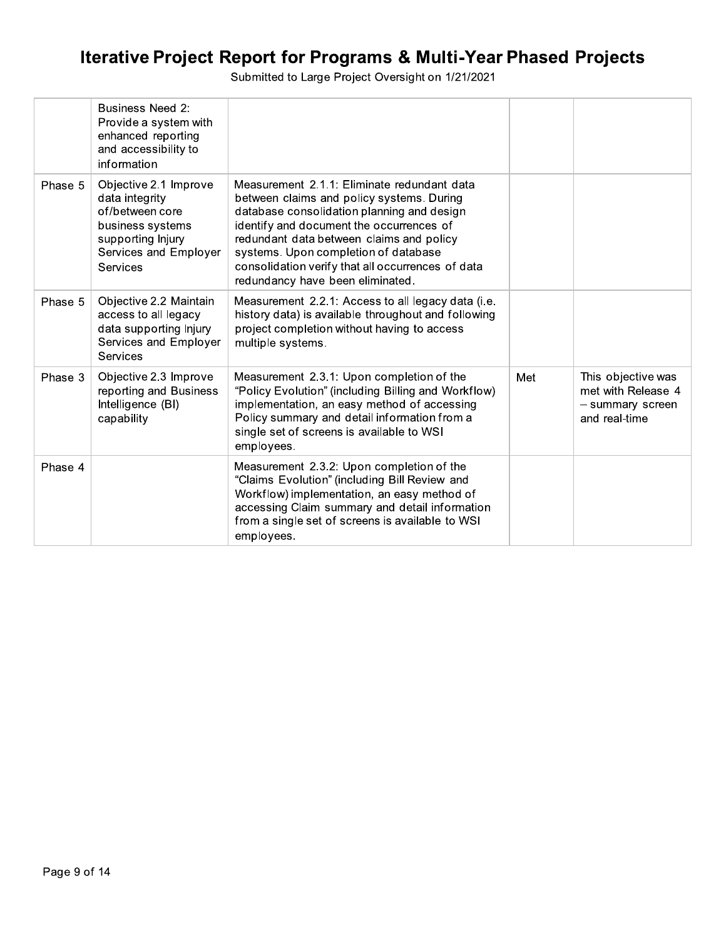|         | <b>Business Need 2:</b><br>Provide a system with<br>enhanced reporting<br>and accessibility to<br>information                            |                                                                                                                                                                                                                                                                                                                                                                 |     |                                                                               |
|---------|------------------------------------------------------------------------------------------------------------------------------------------|-----------------------------------------------------------------------------------------------------------------------------------------------------------------------------------------------------------------------------------------------------------------------------------------------------------------------------------------------------------------|-----|-------------------------------------------------------------------------------|
| Phase 5 | Objective 2.1 Improve<br>data integrity<br>of/between core<br>business systems<br>supporting Injury<br>Services and Employer<br>Services | Measurement 2.1.1: Eliminate redundant data<br>between claims and policy systems. During<br>database consolidation planning and design<br>identify and document the occurrences of<br>redundant data between claims and policy<br>systems. Upon completion of database<br>consolidation verify that all occurrences of data<br>redundancy have been eliminated. |     |                                                                               |
| Phase 5 | Objective 2.2 Maintain<br>access to all legacy<br>data supporting Injury<br>Services and Employer<br>Services                            | Measurement 2.2.1: Access to all legacy data (i.e.<br>history data) is available throughout and following<br>project completion without having to access<br>multiple systems.                                                                                                                                                                                   |     |                                                                               |
| Phase 3 | Objective 2.3 Improve<br>reporting and Business<br>Intelligence (BI)<br>capability                                                       | Measurement 2.3.1: Upon completion of the<br>"Policy Evolution" (including Billing and Workflow)<br>implementation, an easy method of accessing<br>Policy summary and detail information from a<br>single set of screens is available to WSI<br>employees.                                                                                                      | Met | This objective was<br>met with Release 4<br>- summary screen<br>and real-time |
| Phase 4 |                                                                                                                                          | Measurement 2.3.2: Upon completion of the<br>"Claims Evolution" (including Bill Review and<br>Workflow) implementation, an easy method of<br>accessing Claim summary and detail information<br>from a single set of screens is available to WSI<br>employees.                                                                                                   |     |                                                                               |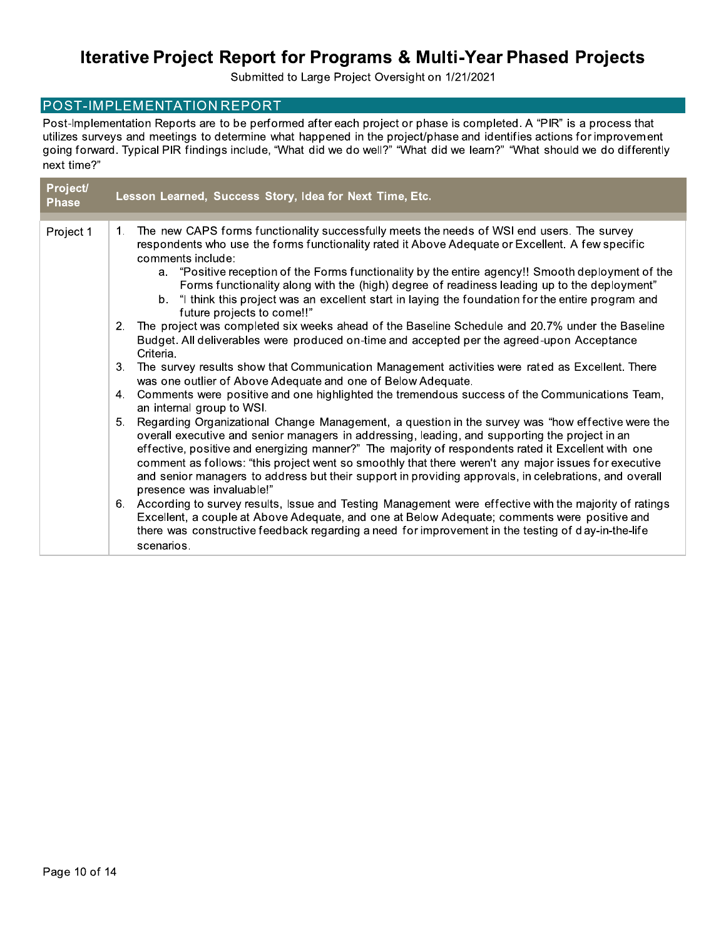Submitted to Large Project Oversight on 1/21/2021

#### POST-IMPLEMENTATION REPORT

Post-Implementation Reports are to be performed after each project or phase is completed. A "PIR" is a process that utilizes surveys and meetings to determine what happened in the project/phase and identifies actions for improvement going forward. Typical PIR findings include, "What did we do well?" "What did we learn?" "What should we do differently next time?"

| Project/<br><b>Phase</b> |    | Lesson Learned, Success Story, Idea for Next Time, Etc.                                                                                                                                                                                                                                                                                                                                                                                                                                                                                                 |
|--------------------------|----|---------------------------------------------------------------------------------------------------------------------------------------------------------------------------------------------------------------------------------------------------------------------------------------------------------------------------------------------------------------------------------------------------------------------------------------------------------------------------------------------------------------------------------------------------------|
| Project 1                | 1. | The new CAPS forms functionality successfully meets the needs of WSI end users. The survey<br>respondents who use the forms functionality rated it Above Adequate or Excellent. A few specific<br>comments include:<br>a. "Positive reception of the Forms functionality by the entire agency!! Smooth deployment of the<br>Forms functionality along with the (high) degree of readiness leading up to the deployment"<br>b. "I think this project was an excellent start in laying the foundation for the entire program and                          |
|                          | 2. | future projects to come!!"<br>The project was completed six weeks ahead of the Baseline Schedule and 20.7% under the Baseline<br>Budget. All deliverables were produced on-time and accepted per the agreed-upon Acceptance<br>Criteria.                                                                                                                                                                                                                                                                                                                |
|                          | 3. | The survey results show that Communication Management activities were rated as Excellent. There<br>was one outlier of Above Adequate and one of Below Adequate.                                                                                                                                                                                                                                                                                                                                                                                         |
|                          |    | 4. Comments were positive and one highlighted the tremendous success of the Communications Team,<br>an internal group to WSI.                                                                                                                                                                                                                                                                                                                                                                                                                           |
|                          | 5. | Regarding Organizational Change Management, a question in the survey was "how effective were the<br>overall executive and senior managers in addressing, leading, and supporting the project in an<br>effective, positive and energizing manner?" The majority of respondents rated it Excellent with one<br>comment as follows: "this project went so smoothly that there weren't any major issues for executive<br>and senior managers to address but their support in providing approvals, in celebrations, and overall<br>presence was invaluable!" |
|                          |    | 6. According to survey results, Issue and Testing Management were effective with the majority of ratings<br>Excellent, a couple at Above Adequate, and one at Below Adequate; comments were positive and<br>there was constructive feedback regarding a need for improvement in the testing of day-in-the-life<br>scenarios.                                                                                                                                                                                                                            |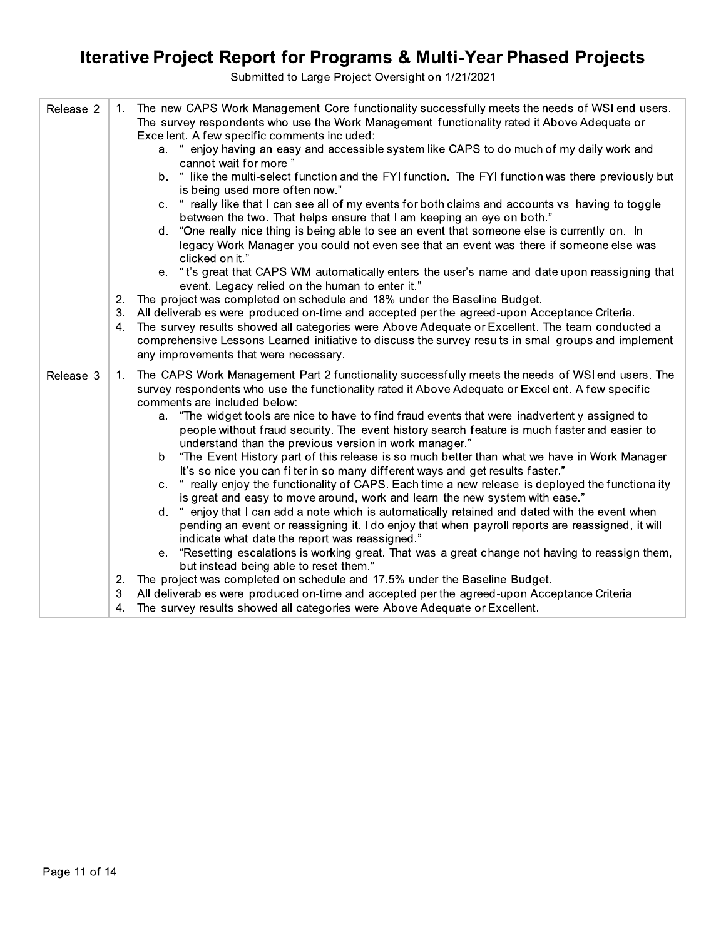| Release 2 | 1. | The new CAPS Work Management Core functionality successfully meets the needs of WSI end users.<br>The survey respondents who use the Work Management functionality rated it Above Adequate or<br>Excellent. A few specific comments included:            |
|-----------|----|----------------------------------------------------------------------------------------------------------------------------------------------------------------------------------------------------------------------------------------------------------|
|           |    | a. "I enjoy having an easy and accessible system like CAPS to do much of my daily work and<br>cannot wait for more."                                                                                                                                     |
|           |    | b. "I like the multi-select function and the FYI function. The FYI function was there previously but<br>is being used more often now."                                                                                                                   |
|           |    | "I really like that I can see all of my events for both claims and accounts vs. having to toggle<br>$\mathbf{C}$ .<br>between the two. That helps ensure that I am keeping an eye on both."                                                              |
|           |    | "One really nice thing is being able to see an event that someone else is currently on. In<br>d.<br>legacy Work Manager you could not even see that an event was there if someone else was<br>clicked on it."                                            |
|           |    | "It's great that CAPS WM automatically enters the user's name and date upon reassigning that<br>е.<br>event. Legacy relied on the human to enter it."                                                                                                    |
|           | 2. | The project was completed on schedule and 18% under the Baseline Budget.                                                                                                                                                                                 |
|           | 3. | All deliverables were produced on-time and accepted per the agreed-upon Acceptance Criteria.                                                                                                                                                             |
|           | 4. | The survey results showed all categories were Above Adequate or Excellent. The team conducted a<br>comprehensive Lessons Learned initiative to discuss the survey results in small groups and implement<br>any improvements that were necessary.         |
| Release 3 | 1. | The CAPS Work Management Part 2 functionality successfully meets the needs of WSI end users. The<br>survey respondents who use the functionality rated it Above Adequate or Excellent. A few specific<br>comments are included below:                    |
|           |    | a. "The widget tools are nice to have to find fraud events that were inadvertently assigned to<br>people without fraud security. The event history search feature is much faster and easier to<br>understand than the previous version in work manager." |
|           |    | b. "The Event History part of this release is so much better than what we have in Work Manager.<br>It's so nice you can filter in so many different ways and get results faster."                                                                        |
|           |    | "I really enjoy the functionality of CAPS. Each time a new release is deployed the functionality<br>C.<br>is great and easy to move around, work and learn the new system with ease."                                                                    |
|           |    | d. "I enjoy that I can add a note which is automatically retained and dated with the event when<br>pending an event or reassigning it. I do enjoy that when payroll reports are reassigned, it will<br>indicate what date the report was reassigned."    |
|           |    | e. "Resetting escalations is working great. That was a great change not having to reassign them,<br>but instead being able to reset them."                                                                                                               |
|           | 2. | The project was completed on schedule and 17.5% under the Baseline Budget.                                                                                                                                                                               |
|           | 3. | All deliverables were produced on-time and accepted per the agreed-upon Acceptance Criteria.                                                                                                                                                             |
|           | 4. | The survey results showed all categories were Above Adequate or Excellent.                                                                                                                                                                               |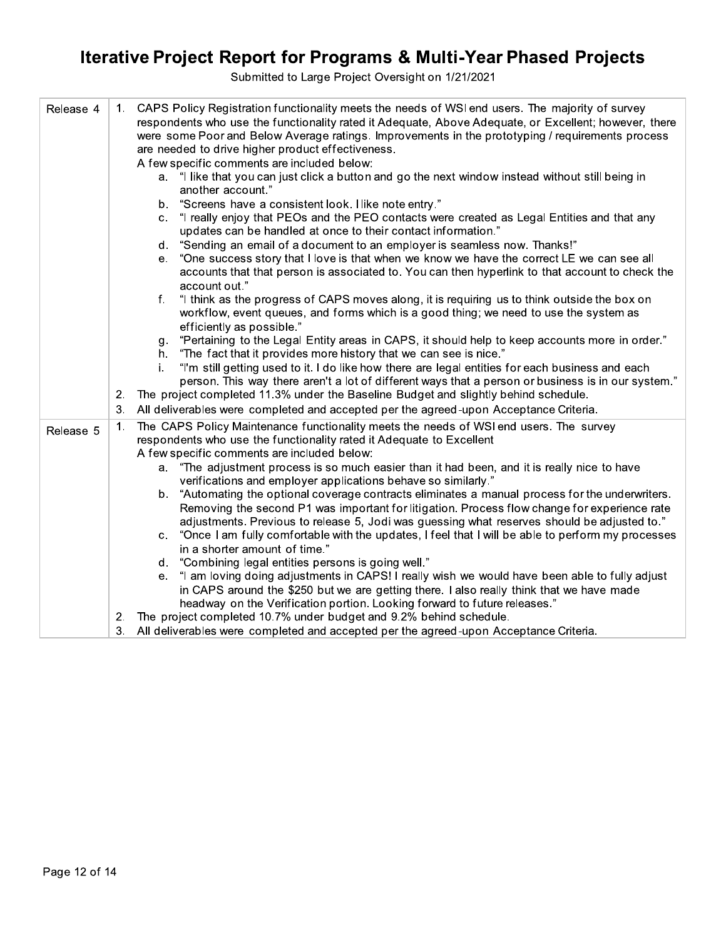| Release 4 | CAPS Policy Registration functionality meets the needs of WSI end users. The majority of survey<br>1.<br>respondents who use the functionality rated it Adequate, Above Adequate, or Excellent; however, there<br>were some Poor and Below Average ratings. Improvements in the prototyping / requirements process<br>are needed to drive higher product effectiveness.<br>A few specific comments are included below: |  |
|-----------|------------------------------------------------------------------------------------------------------------------------------------------------------------------------------------------------------------------------------------------------------------------------------------------------------------------------------------------------------------------------------------------------------------------------|--|
|           | a. "I like that you can just click a button and go the next window instead without still being in<br>another account."                                                                                                                                                                                                                                                                                                 |  |
|           | "Screens have a consistent look. I like note entry."<br>b.                                                                                                                                                                                                                                                                                                                                                             |  |
|           | "I really enjoy that PEOs and the PEO contacts were created as Legal Entities and that any<br>C.<br>updates can be handled at once to their contact information."                                                                                                                                                                                                                                                      |  |
|           | "Sending an email of a document to an employer is seamless now. Thanks!"<br>d.                                                                                                                                                                                                                                                                                                                                         |  |
|           | "One success story that I love is that when we know we have the correct LE we can see all<br>е.<br>accounts that that person is associated to. You can then hyperlink to that account to check the<br>account out."                                                                                                                                                                                                    |  |
|           | "I think as the progress of CAPS moves along, it is requiring us to think outside the box on<br>f.<br>workflow, event queues, and forms which is a good thing; we need to use the system as<br>efficiently as possible."                                                                                                                                                                                               |  |
|           | "Pertaining to the Legal Entity areas in CAPS, it should help to keep accounts more in order."<br>g.                                                                                                                                                                                                                                                                                                                   |  |
|           | "The fact that it provides more history that we can see is nice."<br>h.                                                                                                                                                                                                                                                                                                                                                |  |
|           | "I'm still getting used to it. I do like how there are legal entities for each business and each<br>i.<br>person. This way there aren't a lot of different ways that a person or business is in our system."                                                                                                                                                                                                           |  |
|           | The project completed 11.3% under the Baseline Budget and slightly behind schedule.<br>2.                                                                                                                                                                                                                                                                                                                              |  |
|           | All deliverables were completed and accepted per the agreed-upon Acceptance Criteria.<br>3.                                                                                                                                                                                                                                                                                                                            |  |
|           | The CAPS Policy Maintenance functionality meets the needs of WSI end users. The survey<br>1.                                                                                                                                                                                                                                                                                                                           |  |
| Release 5 | respondents who use the functionality rated it Adequate to Excellent                                                                                                                                                                                                                                                                                                                                                   |  |
|           | A few specific comments are included below:                                                                                                                                                                                                                                                                                                                                                                            |  |
|           | a. "The adjustment process is so much easier than it had been, and it is really nice to have<br>verifications and employer applications behave so similarly."                                                                                                                                                                                                                                                          |  |
|           | "Automating the optional coverage contracts eliminates a manual process for the underwriters.<br>b.<br>Removing the second P1 was important for litigation. Process flow change for experience rate                                                                                                                                                                                                                    |  |
|           | adjustments. Previous to release 5, Jodi was guessing what reserves should be adjusted to."                                                                                                                                                                                                                                                                                                                            |  |
|           | "Once I am fully comfortable with the updates, I feel that I will be able to perform my processes<br>C.                                                                                                                                                                                                                                                                                                                |  |
|           | in a shorter amount of time."                                                                                                                                                                                                                                                                                                                                                                                          |  |
|           | "Combining legal entities persons is going well."<br>d.                                                                                                                                                                                                                                                                                                                                                                |  |
|           | "I am loving doing adjustments in CAPS! I really wish we would have been able to fully adjust<br>е.                                                                                                                                                                                                                                                                                                                    |  |
|           | in CAPS around the \$250 but we are getting there. I also really think that we have made                                                                                                                                                                                                                                                                                                                               |  |
|           | headway on the Verification portion. Looking forward to future releases."                                                                                                                                                                                                                                                                                                                                              |  |
|           | 2. The project completed 10.7% under budget and 9.2% behind schedule.                                                                                                                                                                                                                                                                                                                                                  |  |
|           | All deliverables were, completed and accepted per the agreed-upon Acceptance Criteria<br>3                                                                                                                                                                                                                                                                                                                             |  |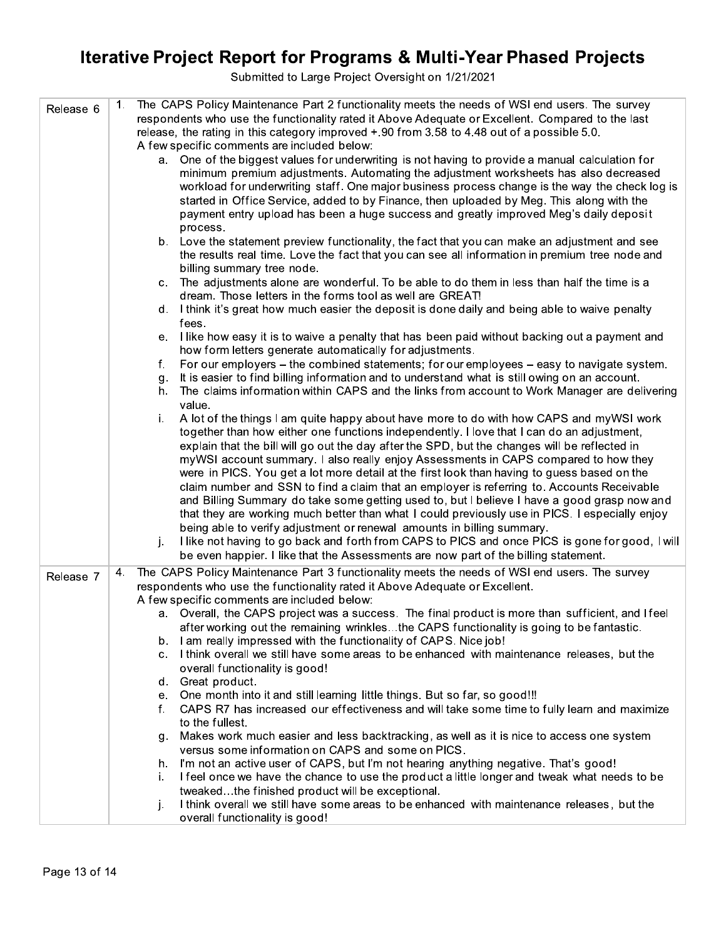| Release 6 | The CAPS Policy Maintenance Part 2 functionality meets the needs of WSI end users. The survey<br>1.          |
|-----------|--------------------------------------------------------------------------------------------------------------|
|           | respondents who use the functionality rated it Above Adequate or Excellent. Compared to the last             |
|           | release, the rating in this category improved $+.90$ from 3.58 to 4.48 out of a possible 5.0.                |
|           | A few specific comments are included below:                                                                  |
|           | a. One of the biggest values for underwriting is not having to provide a manual calculation for              |
|           | minimum premium adjustments. Automating the adjustment worksheets has also decreased                         |
|           | workload for underwriting staff. One major business process change is the way the check log is               |
|           | started in Office Service, added to by Finance, then uploaded by Meg. This along with the                    |
|           | payment entry upload has been a huge success and greatly improved Meg's daily deposit                        |
|           | process.                                                                                                     |
|           | b. Love the statement preview functionality, the fact that you can make an adjustment and see                |
|           | the results real time. Love the fact that you can see all information in premium tree node and               |
|           | billing summary tree node.                                                                                   |
|           | The adjustments alone are wonderful. To be able to do them in less than half the time is a<br>$\mathbf{C}$ . |
|           | dream. Those letters in the forms tool as well are GREAT!                                                    |
|           | d. I think it's great how much easier the deposit is done daily and being able to waive penalty              |
|           | fees.                                                                                                        |
|           | I like how easy it is to waive a penalty that has been paid without backing out a payment and<br>е.          |
|           | how form letters generate automatically for adjustments.                                                     |
|           | For our employers – the combined statements; for our employees – easy to navigate system.<br>f.              |
|           | It is easier to find billing information and to understand what is still owing on an account.                |
|           | g.<br>The claims information within CAPS and the links from account to Work Manager are delivering<br>h.     |
|           |                                                                                                              |
|           | value.                                                                                                       |
|           | A lot of the things I am quite happy about have more to do with how CAPS and myWSI work<br>i.                |
|           | together than how either one functions independently. I love that I can do an adjustment,                    |
|           | explain that the bill will go out the day after the SPD, but the changes will be reflected in                |
|           | myWSI account summary. I also really enjoy Assessments in CAPS compared to how they                          |
|           | were in PICS. You get a lot more detail at the first look than having to guess based on the                  |
|           | claim number and SSN to find a claim that an employer is referring to. Accounts Receivable                   |
|           | and Billing Summary do take some getting used to, but I believe I have a good grasp now and                  |
|           | that they are working much better than what I could previously use in PICS. I especially enjoy               |
|           | being able to verify adjustment or renewal amounts in billing summary.                                       |
|           | I like not having to go back and forth from CAPS to PICS and once PICS is gone for good, I will<br>j.        |
|           | be even happier. I like that the Assessments are now part of the billing statement.                          |
| Release 7 | The CAPS Policy Maintenance Part 3 functionality meets the needs of WSI end users. The survey<br>4.          |
|           | respondents who use the functionality rated it Above Adequate or Excellent.                                  |
|           | A few specific comments are included below:                                                                  |
|           | a. Overall, the CAPS project was a success. The final product is more than sufficient, and I feel            |
|           | after working out the remaining wrinklesthe CAPS functionality is going to be fantastic.                     |
|           | I am really impressed with the functionality of CAPS. Nice job!<br>b.                                        |
|           | I think overall we still have some areas to be enhanced with maintenance releases, but the<br>$\mathbf{C}$ . |
|           | overall functionality is good!                                                                               |
|           | d. Great product.                                                                                            |
|           | One month into it and still learning little things. But so far, so good!!!<br>е.                             |
|           | CAPS R7 has increased our effectiveness and will take some time to fully learn and maximize<br>f.            |
|           | to the fullest.                                                                                              |
|           | Makes work much easier and less backtracking, as well as it is nice to access one system<br>q.               |
|           | versus some information on CAPS and some on PICS.                                                            |
|           | I'm not an active user of CAPS, but I'm not hearing anything negative. That's good!<br>h.                    |
|           | I feel once we have the chance to use the product a little longer and tweak what needs to be<br>i.           |
|           | tweakedthe finished product will be exceptional.                                                             |
|           | I think overall we still have some areas to be enhanced with maintenance releases, but the<br>j.             |
|           | overall functionality is good!                                                                               |